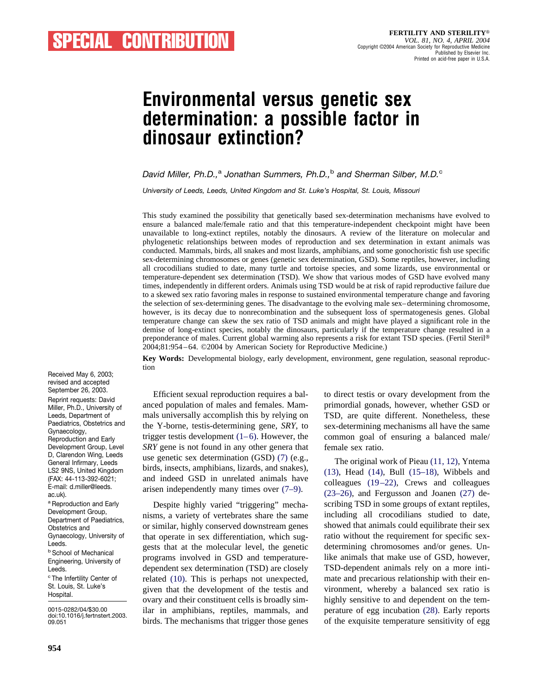# **Environmental versus genetic sex determination: a possible factor in dinosaur extinction?**

*David Miller, Ph.D.,<sup>a</sup> Jonathan Summers, Ph.D.,<sup>b</sup> and Sherman Silber, M.D.<sup>c</sup>* 

*University of Leeds, Leeds, United Kingdom and St. Luke's Hospital, St. Louis, Missouri*

This study examined the possibility that genetically based sex-determination mechanisms have evolved to ensure a balanced male/female ratio and that this temperature-independent checkpoint might have been unavailable to long-extinct reptiles, notably the dinosaurs. A review of the literature on molecular and phylogenetic relationships between modes of reproduction and sex determination in extant animals was conducted. Mammals, birds, all snakes and most lizards, amphibians, and some gonochoristic fish use specific sex-determining chromosomes or genes (genetic sex determination, GSD). Some reptiles, however, including all crocodilians studied to date, many turtle and tortoise species, and some lizards, use environmental or temperature-dependent sex determination (TSD). We show that various modes of GSD have evolved many times, independently in different orders. Animals using TSD would be at risk of rapid reproductive failure due to a skewed sex ratio favoring males in response to sustained environmental temperature change and favoring the selection of sex-determining genes. The disadvantage to the evolving male sex– determining chromosome, however, is its decay due to nonrecombination and the subsequent loss of spermatogenesis genes. Global temperature change can skew the sex ratio of TSD animals and might have played a significant role in the demise of long-extinct species, notably the dinosaurs, particularly if the temperature change resulted in a preponderance of males. Current global warming also represents a risk for extant TSD species. (Fertil Steril 2004;81:954 – 64. ©2004 by American Society for Reproductive Medicine.)

**Key Words:** Developmental biology, early development, environment, gene regulation, seasonal reproduction

Efficient sexual reproduction requires a balanced population of males and females. Mammals universally accomplish this by relying on the Y-borne, testis-determining gene, *SRY*, to trigger testis development  $(1-6)$ . However, the *SRY* gene is not found in any other genera that use genetic sex determination (GSD) (7) (e.g., birds, insects, amphibians, lizards, and snakes), and indeed GSD in unrelated animals have arisen independently many times over (7–9).

Despite highly varied "triggering" mechanisms, a variety of vertebrates share the same or similar, highly conserved downstream genes that operate in sex differentiation, which suggests that at the molecular level, the genetic programs involved in GSD and temperaturedependent sex determination (TSD) are closely related (10). This is perhaps not unexpected, given that the development of the testis and ovary and their constituent cells is broadly similar in amphibians, reptiles, mammals, and birds. The mechanisms that trigger those genes to direct testis or ovary development from the primordial gonads, however, whether GSD or TSD, are quite different. Nonetheless, these sex-determining mechanisms all have the same common goal of ensuring a balanced male/ female sex ratio.

The original work of Pieau (11, 12), Yntema (13), Head (14), Bull (15–18), Wibbels and colleagues  $(19-22)$ , Crews and colleagues (23–26), and Fergusson and Joanen (27) describing TSD in some groups of extant reptiles, including all crocodilians studied to date, showed that animals could equilibrate their sex ratio without the requirement for specific sexdetermining chromosomes and/or genes. Unlike animals that make use of GSD, however, TSD-dependent animals rely on a more intimate and precarious relationship with their environment, whereby a balanced sex ratio is highly sensitive to and dependent on the temperature of egg incubation (28). Early reports of the exquisite temperature sensitivity of egg

Received May 6, 2003; revised and accepted September 26, 2003. Reprint requests: David Miller, Ph.D., University of Leeds, Department of Paediatrics, Obstetrics and Gynaecology, Reproduction and Early Development Group, Level D, Clarendon Wing, Leeds General Infirmary, Leeds LS2 9NS, United Kingdom (FAX: 44-113-392-6021; E-mail: d.miller@leeds. ac.uk).

a Reproduction and Early Development Group, Department of Paediatrics, Obstetrics and Gynaecology, University of Leeds.

**b** School of Mechanical Engineering, University of Leeds.

<sup>c</sup> The Infertility Center of St. Louis, St. Luke's Hospital.

0015-0282/04/\$30.00 doi:10.1016/j.fertnstert.2003. 09.051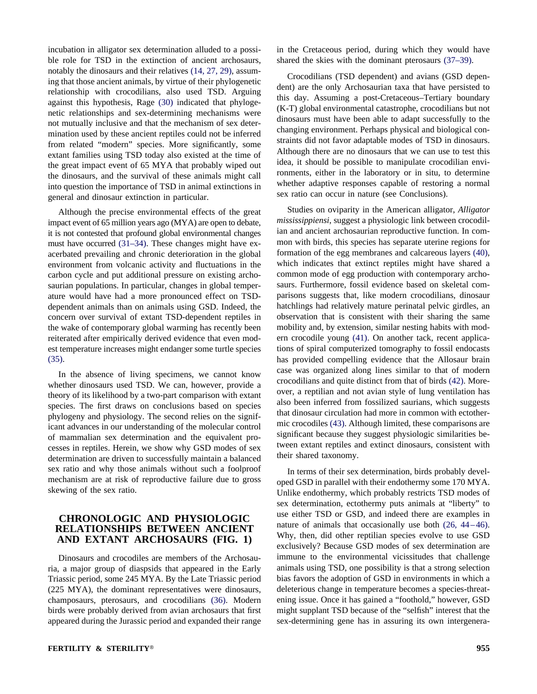incubation in alligator sex determination alluded to a possible role for TSD in the extinction of ancient archosaurs, notably the dinosaurs and their relatives (14, 27, 29), assuming that those ancient animals, by virtue of their phylogenetic relationship with crocodilians, also used TSD. Arguing against this hypothesis, Rage (30) indicated that phylogenetic relationships and sex-determining mechanisms were not mutually inclusive and that the mechanism of sex determination used by these ancient reptiles could not be inferred from related "modern" species. More significantly, some extant families using TSD today also existed at the time of the great impact event of 65 MYA that probably wiped out the dinosaurs, and the survival of these animals might call into question the importance of TSD in animal extinctions in general and dinosaur extinction in particular.

Although the precise environmental effects of the great impact event of 65 million years ago (MYA) are open to debate, it is not contested that profound global environmental changes must have occurred (31–34). These changes might have exacerbated prevailing and chronic deterioration in the global environment from volcanic activity and fluctuations in the carbon cycle and put additional pressure on existing archosaurian populations. In particular, changes in global temperature would have had a more pronounced effect on TSDdependent animals than on animals using GSD. Indeed, the concern over survival of extant TSD-dependent reptiles in the wake of contemporary global warming has recently been reiterated after empirically derived evidence that even modest temperature increases might endanger some turtle species (35).

In the absence of living specimens, we cannot know whether dinosaurs used TSD. We can, however, provide a theory of its likelihood by a two-part comparison with extant species. The first draws on conclusions based on species phylogeny and physiology. The second relies on the significant advances in our understanding of the molecular control of mammalian sex determination and the equivalent processes in reptiles. Herein, we show why GSD modes of sex determination are driven to successfully maintain a balanced sex ratio and why those animals without such a foolproof mechanism are at risk of reproductive failure due to gross skewing of the sex ratio.

# **CHRONOLOGIC AND PHYSIOLOGIC RELATIONSHIPS BETWEEN ANCIENT AND EXTANT ARCHOSAURS (FIG. 1)**

Dinosaurs and crocodiles are members of the Archosauria, a major group of diaspsids that appeared in the Early Triassic period, some 245 MYA. By the Late Triassic period (225 MYA), the dominant representatives were dinosaurs, champosaurs, pterosaurs, and crocodilians (36). Modern birds were probably derived from avian archosaurs that first appeared during the Jurassic period and expanded their range in the Cretaceous period, during which they would have shared the skies with the dominant pterosaurs (37–39).

Crocodilians (TSD dependent) and avians (GSD dependent) are the only Archosaurian taxa that have persisted to this day. Assuming a post-Cretaceous–Tertiary boundary (K-T) global environmental catastrophe, crocodilians but not dinosaurs must have been able to adapt successfully to the changing environment. Perhaps physical and biological constraints did not favor adaptable modes of TSD in dinosaurs. Although there are no dinosaurs that we can use to test this idea, it should be possible to manipulate crocodilian environments, either in the laboratory or in situ, to determine whether adaptive responses capable of restoring a normal sex ratio can occur in nature (see Conclusions).

Studies on oviparity in the American alligator, *Alligator mississippiensi*, suggest a physiologic link between crocodilian and ancient archosaurian reproductive function. In common with birds, this species has separate uterine regions for formation of the egg membranes and calcareous layers (40), which indicates that extinct reptiles might have shared a common mode of egg production with contemporary archosaurs. Furthermore, fossil evidence based on skeletal comparisons suggests that, like modern crocodilians, dinosaur hatchlings had relatively mature perinatal pelvic girdles, an observation that is consistent with their sharing the same mobility and, by extension, similar nesting habits with modern crocodile young (41). On another tack, recent applications of spiral computerized tomography to fossil endocasts has provided compelling evidence that the Allosaur brain case was organized along lines similar to that of modern crocodilians and quite distinct from that of birds (42). Moreover, a reptilian and not avian style of lung ventilation has also been inferred from fossilized saurians, which suggests that dinosaur circulation had more in common with ectothermic crocodiles (43). Although limited, these comparisons are significant because they suggest physiologic similarities between extant reptiles and extinct dinosaurs, consistent with their shared taxonomy.

In terms of their sex determination, birds probably developed GSD in parallel with their endothermy some 170 MYA. Unlike endothermy, which probably restricts TSD modes of sex determination, ectothermy puts animals at "liberty" to use either TSD or GSD, and indeed there are examples in nature of animals that occasionally use both  $(26, 44-46)$ . Why, then, did other reptilian species evolve to use GSD exclusively? Because GSD modes of sex determination are immune to the environmental vicissitudes that challenge animals using TSD, one possibility is that a strong selection bias favors the adoption of GSD in environments in which a deleterious change in temperature becomes a species-threatening issue. Once it has gained a "foothold," however, GSD might supplant TSD because of the "selfish" interest that the sex-determining gene has in assuring its own intergenera-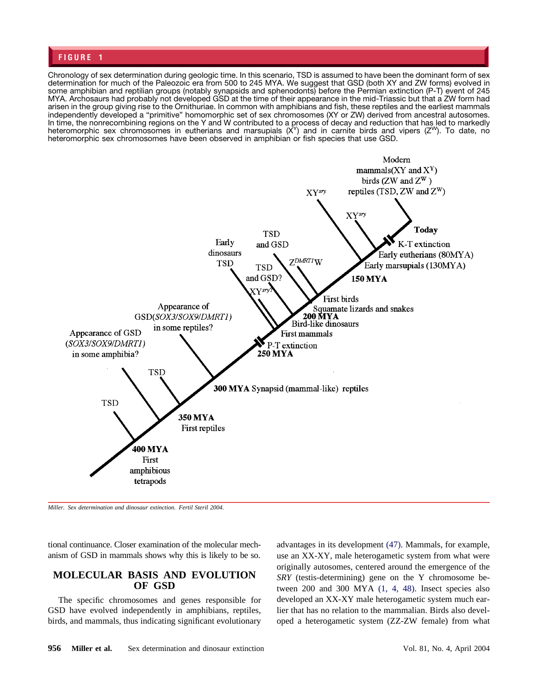## **FIGURE 1**

Chronology of sex determination during geologic time. In this scenario, TSD is assumed to have been the dominant form of sex determination for much of the Paleozoic era from 500 to 245 MYA. We suggest that GSD (both XY and ZW forms) evolved in some amphibian and reptilian groups (notably synapsids and sphenodonts) before the Permian extinction (P-T) event of 245 MYA. Archosaurs had probably not developed GSD at the time of their appearance in the mid-Triassic but that a ZW form had arisen in the group giving rise to the Ornithuriae. In common with amphibians and fish, these reptiles and the earliest mammals independently developed a "primitive" homomorphic set of sex chromosomes (XY or ZW) derived from ancestral autosomes. In time, the nonrecombining regions on the Y and W contributed to a process of decay and reduction that has led to markedly heteromorphic sex chromosomes in eutherians and marsupials  $(X^Y)$  and in carnite birds and vipers  $(Z^W)$ . To date, no heteromorphic sex chromosomes have been observed in amphibian or fish species that use GSD.



*Miller. Sex determination and dinosaur extinction. Fertil Steril 2004.*

tional continuance. Closer examination of the molecular mechanism of GSD in mammals shows why this is likely to be so.

#### **MOLECULAR BASIS AND EVOLUTION OF GSD**

The specific chromosomes and genes responsible for GSD have evolved independently in amphibians, reptiles, birds, and mammals, thus indicating significant evolutionary

advantages in its development (47). Mammals, for example, use an XX-XY, male heterogametic system from what were originally autosomes, centered around the emergence of the *SRY* (testis-determining) gene on the Y chromosome between 200 and 300 MYA (1, 4, 48). Insect species also developed an XX-XY male heterogametic system much earlier that has no relation to the mammalian. Birds also developed a heterogametic system (ZZ-ZW female) from what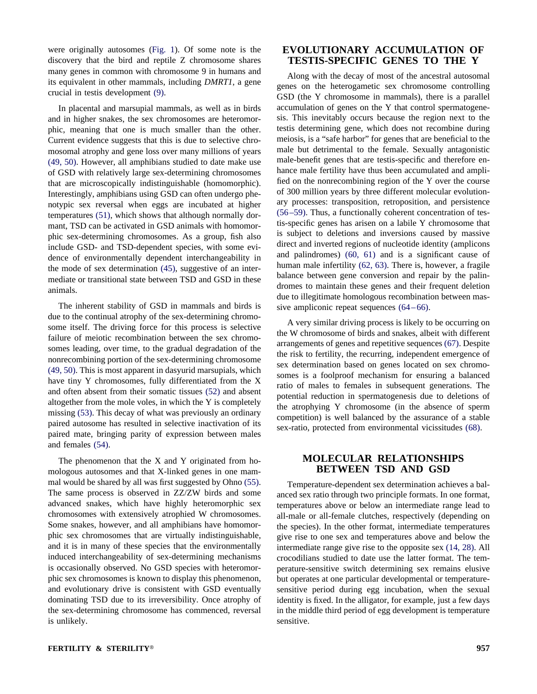were originally autosomes (Fig. 1). Of some note is the discovery that the bird and reptile Z chromosome shares many genes in common with chromosome 9 in humans and its equivalent in other mammals, including *DMRT1*, a gene crucial in testis development (9).

In placental and marsupial mammals, as well as in birds and in higher snakes, the sex chromosomes are heteromorphic, meaning that one is much smaller than the other. Current evidence suggests that this is due to selective chromosomal atrophy and gene loss over many millions of years (49, 50). However, all amphibians studied to date make use of GSD with relatively large sex-determining chromosomes that are microscopically indistinguishable (homomorphic). Interestingly, amphibians using GSD can often undergo phenotypic sex reversal when eggs are incubated at higher temperatures (51), which shows that although normally dormant, TSD can be activated in GSD animals with homomorphic sex-determining chromosomes. As a group, fish also include GSD- and TSD-dependent species, with some evidence of environmentally dependent interchangeability in the mode of sex determination (45), suggestive of an intermediate or transitional state between TSD and GSD in these animals.

The inherent stability of GSD in mammals and birds is due to the continual atrophy of the sex-determining chromosome itself. The driving force for this process is selective failure of meiotic recombination between the sex chromosomes leading, over time, to the gradual degradation of the nonrecombining portion of the sex-determining chromosome (49, 50). This is most apparent in dasyurid marsupials, which have tiny Y chromosomes, fully differentiated from the X and often absent from their somatic tissues (52) and absent altogether from the mole voles, in which the Y is completely missing (53). This decay of what was previously an ordinary paired autosome has resulted in selective inactivation of its paired mate, bringing parity of expression between males and females (54).

The phenomenon that the X and Y originated from homologous autosomes and that X-linked genes in one mammal would be shared by all was first suggested by Ohno (55). The same process is observed in ZZ/ZW birds and some advanced snakes, which have highly heteromorphic sex chromosomes with extensively atrophied W chromosomes. Some snakes, however, and all amphibians have homomorphic sex chromosomes that are virtually indistinguishable, and it is in many of these species that the environmentally induced interchangeability of sex-determining mechanisms is occasionally observed. No GSD species with heteromorphic sex chromosomes is known to display this phenomenon, and evolutionary drive is consistent with GSD eventually dominating TSD due to its irreversibility. Once atrophy of the sex-determining chromosome has commenced, reversal is unlikely.

## **EVOLUTIONARY ACCUMULATION OF TESTIS-SPECIFIC GENES TO THE Y**

Along with the decay of most of the ancestral autosomal genes on the heterogametic sex chromosome controlling GSD (the Y chromosome in mammals), there is a parallel accumulation of genes on the Y that control spermatogenesis. This inevitably occurs because the region next to the testis determining gene, which does not recombine during meiosis, is a "safe harbor" for genes that are beneficial to the male but detrimental to the female. Sexually antagonistic male-benefit genes that are testis-specific and therefore enhance male fertility have thus been accumulated and amplified on the nonrecombining region of the Y over the course of 300 million years by three different molecular evolutionary processes: transposition, retroposition, and persistence (56 –59). Thus, a functionally coherent concentration of testis-specific genes has arisen on a labile Y chromosome that is subject to deletions and inversions caused by massive direct and inverted regions of nucleotide identity (amplicons and palindromes) (60, 61) and is a significant cause of human male infertility (62, 63). There is, however, a fragile balance between gene conversion and repair by the palindromes to maintain these genes and their frequent deletion due to illegitimate homologous recombination between massive ampliconic repeat sequences  $(64 - 66)$ .

A very similar driving process is likely to be occurring on the W chromosome of birds and snakes, albeit with different arrangements of genes and repetitive sequences (67). Despite the risk to fertility, the recurring, independent emergence of sex determination based on genes located on sex chromosomes is a foolproof mechanism for ensuring a balanced ratio of males to females in subsequent generations. The potential reduction in spermatogenesis due to deletions of the atrophying Y chromosome (in the absence of sperm competition) is well balanced by the assurance of a stable sex-ratio, protected from environmental vicissitudes (68).

# **MOLECULAR RELATIONSHIPS BETWEEN TSD AND GSD**

Temperature-dependent sex determination achieves a balanced sex ratio through two principle formats. In one format, temperatures above or below an intermediate range lead to all-male or all-female clutches, respectively (depending on the species). In the other format, intermediate temperatures give rise to one sex and temperatures above and below the intermediate range give rise to the opposite sex (14, 28). All crocodilians studied to date use the latter format. The temperature-sensitive switch determining sex remains elusive but operates at one particular developmental or temperaturesensitive period during egg incubation, when the sexual identity is fixed. In the alligator, for example, just a few days in the middle third period of egg development is temperature sensitive.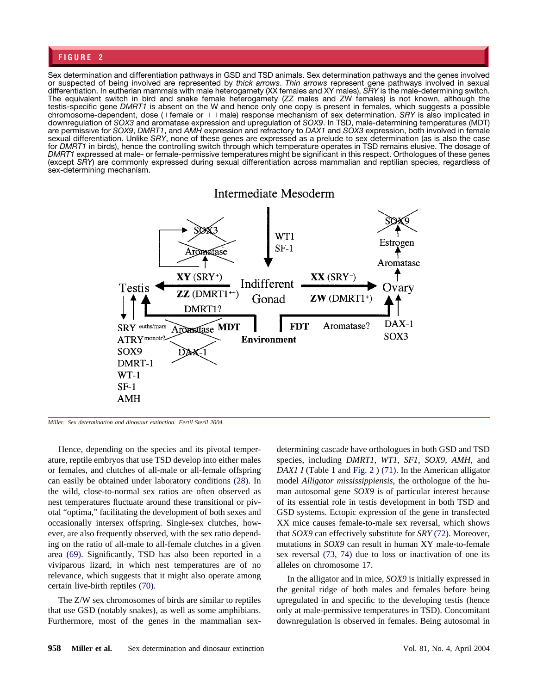### **FIGURE 2**

Sex determination and differentiation pathways in GSD and TSD animals. Sex determination pathways and the genes involved or suspected of being involved are represented by *thick arrows*. *Thin arrows* represent gene pathways involved in sexual differentiation. In eutherian mammals with male heterogamety (XX females and XY males), *SRY* is the male-determining switch. The equivalent switch in bird and snake female heterogamety (ZZ males and ZW females) is not known, although the testis-specific gene *DMRT1* is absent on the W and hence only one copy is present in females, which suggests a possible chromosome-dependent, dose (+female or ++male) response mechanism of sex determination. *SRY* is also implicated in downregulation of *SOX3* and aromatase expression and upregulation of *SOX9*. In TSD, male-determining temperatures (MDT) are permissive for *SOX9*, *DMRT1*, and *AMH* expression and refractory to *DAX1* and *SOX3* expression, both involved in female sexual differentiation. Unlike *SRY*, none of these genes are expressed as a prelude to sex determination (as is also the case for *DMRT1* in birds), hence the controlling switch through which temperature operates in TSD remains elusive. The dosage of *DMRT1* expressed at male- or female-permissive temperatures might be significant in this respect. Orthologues of these genes (except *SRY*) are commonly expressed during sexual differentiation across mammalian and reptilian species, regardless of sex-determining mechanism.

Intermediate Mesoderm



*Miller. Sex determination and dinosaur extinction. Fertil Steril 2004.*

Hence, depending on the species and its pivotal temperature, reptile embryos that use TSD develop into either males or females, and clutches of all-male or all-female offspring can easily be obtained under laboratory conditions (28). In the wild, close-to-normal sex ratios are often observed as nest temperatures fluctuate around these transitional or pivotal "optima," facilitating the development of both sexes and occasionally intersex offspring. Single-sex clutches, however, are also frequently observed, with the sex ratio depending on the ratio of all-male to all-female clutches in a given area (69). Significantly, TSD has also been reported in a viviparous lizard, in which nest temperatures are of no relevance, which suggests that it might also operate among certain live-birth reptiles (70).

The Z/W sex chromosomes of birds are similar to reptiles that use GSD (notably snakes), as well as some amphibians. Furthermore, most of the genes in the mammalian sexdetermining cascade have orthologues in both GSD and TSD species, including *DMRT1*, *WT1*, *SF1*, *SOX9*, *AMH*, and *DAX1 I* (Table 1 and Fig. 2 ) (71). In the American alligator model *Alligator mississippiensis*, the orthologue of the human autosomal gene *SOX9* is of particular interest because of its essential role in testis development in both TSD and GSD systems. Ectopic expression of the gene in transfected XX mice causes female-to-male sex reversal, which shows that *SOX9* can effectively substitute for *SRY* (72). Moreover, mutations in *SOX9* can result in human XY male-to-female sex reversal (73, 74) due to loss or inactivation of one its alleles on chromosome 17.

In the alligator and in mice, *SOX9* is initially expressed in the genital ridge of both males and females before being upregulated in and specific to the developing testis (hence only at male-permissive temperatures in TSD). Concomitant downregulation is observed in females. Being autosomal in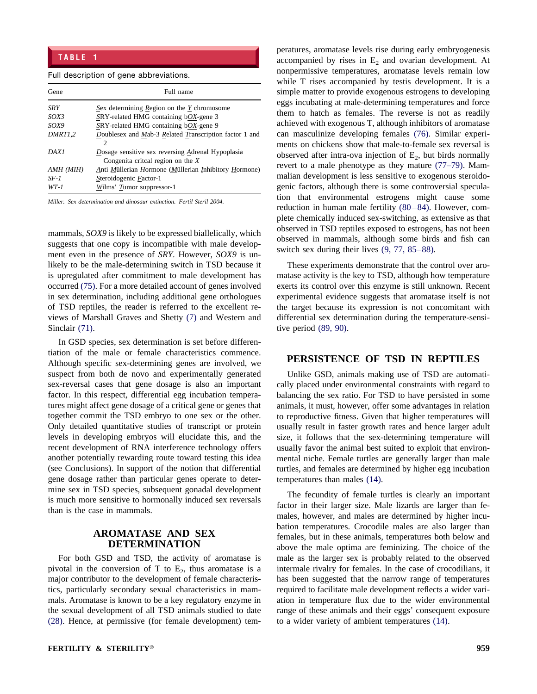#### **TABLE 1**

|  |  |  |  | Full description of gene abbreviations. |
|--|--|--|--|-----------------------------------------|
|--|--|--|--|-----------------------------------------|

| Gene      | Full name                                              |
|-----------|--------------------------------------------------------|
| SRY       | Sex determining Region on the Y chromosome             |
| SOX3      | $SRY$ -related HMG containing bOX-gene 3               |
| SOX9      | $SRY$ -related HMG containing bOX-gene 9               |
| DMRT1.2   | Doublesex and Mab-3 Related Transcription factor 1 and |
|           | $\mathcal{D}_{\mathcal{L}}$                            |
| DAX1      | Dosage sensitive sex reversing Adrenal Hypoplasia      |
|           | Congenita critical region on the $X$                   |
| AMH (MIH) | Anti Müllerian Hormone (Müllerian Inhibitory Hormone)  |
| $SF-1$    | Steroidogenic Factor-1                                 |
| WT-1      | Wilms' Tumor suppressor-1                              |

*Miller. Sex determination and dinosaur extinction. Fertil Steril 2004.*

mammals, *SOX9* is likely to be expressed biallelically, which suggests that one copy is incompatible with male development even in the presence of *SRY*. However, *SOX9* is unlikely to be the male-determining switch in TSD because it is upregulated after commitment to male development has occurred (75). For a more detailed account of genes involved in sex determination, including additional gene orthologues of TSD reptiles, the reader is referred to the excellent reviews of Marshall Graves and Shetty (7) and Western and Sinclair  $(71)$ .

In GSD species, sex determination is set before differentiation of the male or female characteristics commence. Although specific sex-determining genes are involved, we suspect from both de novo and experimentally generated sex-reversal cases that gene dosage is also an important factor. In this respect, differential egg incubation temperatures might affect gene dosage of a critical gene or genes that together commit the TSD embryo to one sex or the other. Only detailed quantitative studies of transcript or protein levels in developing embryos will elucidate this, and the recent development of RNA interference technology offers another potentially rewarding route toward testing this idea (see Conclusions). In support of the notion that differential gene dosage rather than particular genes operate to determine sex in TSD species, subsequent gonadal development is much more sensitive to hormonally induced sex reversals than is the case in mammals.

# **AROMATASE AND SEX DETERMINATION**

For both GSD and TSD, the activity of aromatase is pivotal in the conversion of T to  $E_2$ , thus aromatase is a major contributor to the development of female characteristics, particularly secondary sexual characteristics in mammals. Aromatase is known to be a key regulatory enzyme in the sexual development of all TSD animals studied to date (28). Hence, at permissive (for female development) tem-

peratures, aromatase levels rise during early embryogenesis accompanied by rises in  $E_2$  and ovarian development. At nonpermissive temperatures, aromatase levels remain low while T rises accompanied by testis development. It is a simple matter to provide exogenous estrogens to developing eggs incubating at male-determining temperatures and force them to hatch as females. The reverse is not as readily achieved with exogenous T, although inhibitors of aromatase can masculinize developing females (76). Similar experiments on chickens show that male-to-female sex reversal is observed after intra-ova injection of  $E_2$ , but birds normally revert to a male phenotype as they mature (77–79). Mammalian development is less sensitive to exogenous steroidogenic factors, although there is some controversial speculation that environmental estrogens might cause some reduction in human male fertility (80 – 84). However, complete chemically induced sex-switching, as extensive as that observed in TSD reptiles exposed to estrogens, has not been observed in mammals, although some birds and fish can switch sex during their lives  $(9, 77, 85-88)$ .

These experiments demonstrate that the control over aromatase activity is the key to TSD, although how temperature exerts its control over this enzyme is still unknown. Recent experimental evidence suggests that aromatase itself is not the target because its expression is not concomitant with differential sex determination during the temperature-sensitive period (89, 90).

# **PERSISTENCE OF TSD IN REPTILES**

Unlike GSD, animals making use of TSD are automatically placed under environmental constraints with regard to balancing the sex ratio. For TSD to have persisted in some animals, it must, however, offer some advantages in relation to reproductive fitness. Given that higher temperatures will usually result in faster growth rates and hence larger adult size, it follows that the sex-determining temperature will usually favor the animal best suited to exploit that environmental niche. Female turtles are generally larger than male turtles, and females are determined by higher egg incubation temperatures than males (14).

The fecundity of female turtles is clearly an important factor in their larger size. Male lizards are larger than females, however, and males are determined by higher incubation temperatures. Crocodile males are also larger than females, but in these animals, temperatures both below and above the male optima are feminizing. The choice of the male as the larger sex is probably related to the observed intermale rivalry for females. In the case of crocodilians, it has been suggested that the narrow range of temperatures required to facilitate male development reflects a wider variation in temperature flux due to the wider environmental range of these animals and their eggs' consequent exposure to a wider variety of ambient temperatures (14).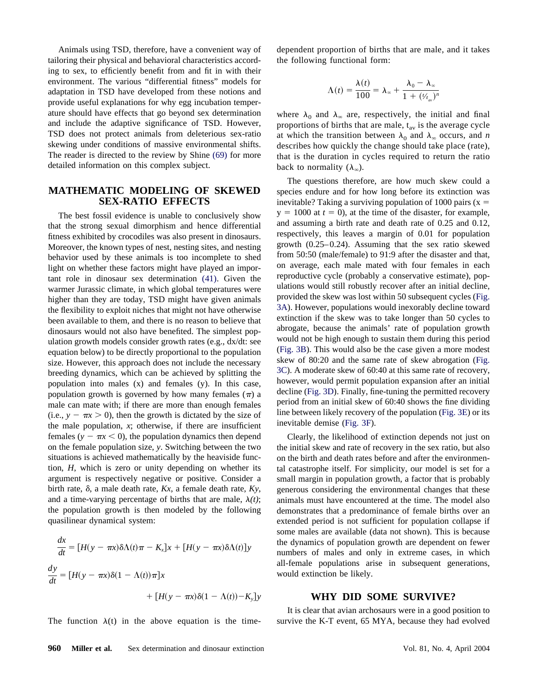Animals using TSD, therefore, have a convenient way of tailoring their physical and behavioral characteristics according to sex, to efficiently benefit from and fit in with their environment. The various "differential fitness" models for adaptation in TSD have developed from these notions and provide useful explanations for why egg incubation temperature should have effects that go beyond sex determination and include the adaptive significance of TSD. However, TSD does not protect animals from deleterious sex-ratio skewing under conditions of massive environmental shifts. The reader is directed to the review by Shine (69) for more detailed information on this complex subject.

# **MATHEMATIC MODELING OF SKEWED SEX-RATIO EFFECTS**

The best fossil evidence is unable to conclusively show that the strong sexual dimorphism and hence differential fitness exhibited by crocodiles was also present in dinosaurs. Moreover, the known types of nest, nesting sites, and nesting behavior used by these animals is too incomplete to shed light on whether these factors might have played an important role in dinosaur sex determination (41). Given the warmer Jurassic climate, in which global temperatures were higher than they are today, TSD might have given animals the flexibility to exploit niches that might not have otherwise been available to them, and there is no reason to believe that dinosaurs would not also have benefited. The simplest population growth models consider growth rates (e.g., dx/dt: see equation below) to be directly proportional to the population size. However, this approach does not include the necessary breeding dynamics, which can be achieved by splitting the population into males (x) and females (y). In this case, population growth is governed by how many females  $(\pi)$  a male can mate with; if there are more than enough females  $(i.e., y - \pi x > 0)$ , then the growth is dictated by the size of the male population,  $x$ ; otherwise, if there are insufficient females  $(y - \pi x < 0)$ , the population dynamics then depend on the female population size, *y*. Switching between the two situations is achieved mathematically by the heaviside function, *H*, which is zero or unity depending on whether its argument is respectively negative or positive. Consider a birth rate,  $\delta$ , a male death rate,  $Kx$ , a female death rate,  $Ky$ , and a time-varying percentage of births that are male,  $\lambda(t)$ ; the population growth is then modeled by the following quasilinear dynamical system:

$$
\frac{dx}{dt} = [H(y - \pi x)\delta\Lambda(t)\pi - K_x]x + [H(y - \pi x)\delta\Lambda(t)]y
$$

$$
\frac{dy}{dt} = [H(y - \pi x)\delta(1 - \Lambda(t))\pi]x
$$

$$
+ [H(y - \pi x)\delta(1 - \Lambda(t)) - K_y]y
$$

The function  $\lambda(t)$  in the above equation is the time-

dependent proportion of births that are male, and it takes the following functional form:

$$
\Lambda(t) = \frac{\lambda(t)}{100} = \lambda_{\infty} + \frac{\lambda_0 - \lambda_{\infty}}{1 + (\mathcal{V}_{t_{\infty}})^n}
$$

where  $\lambda_0$  and  $\lambda_\infty$  are, respectively, the initial and final proportions of births that are male,  $t_{av}$  is the average cycle at which the transition between  $\lambda_0$  and  $\lambda_\infty$  occurs, and *n* describes how quickly the change should take place (rate), that is the duration in cycles required to return the ratio back to normality  $(\lambda_{\infty})$ .

The questions therefore, are how much skew could a species endure and for how long before its extinction was inevitable? Taking a surviving population of 1000 pairs ( $x =$  $y = 1000$  at  $t = 0$ ), at the time of the disaster, for example, and assuming a birth rate and death rate of 0.25 and 0.12, respectively, this leaves a margin of 0.01 for population growth  $(0.25-0.24)$ . Assuming that the sex ratio skewed from 50:50 (male/female) to 91:9 after the disaster and that, on average, each male mated with four females in each reproductive cycle (probably a conservative estimate), populations would still robustly recover after an initial decline, provided the skew was lost within 50 subsequent cycles (Fig. 3A). However, populations would inexorably decline toward extinction if the skew was to take longer than 50 cycles to abrogate, because the animals' rate of population growth would not be high enough to sustain them during this period (Fig. 3B). This would also be the case given a more modest skew of 80:20 and the same rate of skew abrogation (Fig. 3C). A moderate skew of 60:40 at this same rate of recovery, however, would permit population expansion after an initial decline (Fig. 3D). Finally, fine-tuning the permitted recovery period from an initial skew of 60:40 shows the fine dividing line between likely recovery of the population (Fig. 3E) or its inevitable demise (Fig. 3F).

Clearly, the likelihood of extinction depends not just on the initial skew and rate of recovery in the sex ratio, but also on the birth and death rates before and after the environmental catastrophe itself. For simplicity, our model is set for a small margin in population growth, a factor that is probably generous considering the environmental changes that these animals must have encountered at the time. The model also demonstrates that a predominance of female births over an extended period is not sufficient for population collapse if some males are available (data not shown). This is because the dynamics of population growth are dependent on fewer numbers of males and only in extreme cases, in which all-female populations arise in subsequent generations, would extinction be likely.

#### **WHY DID SOME SURVIVE?**

It is clear that avian archosaurs were in a good position to survive the K-T event, 65 MYA, because they had evolved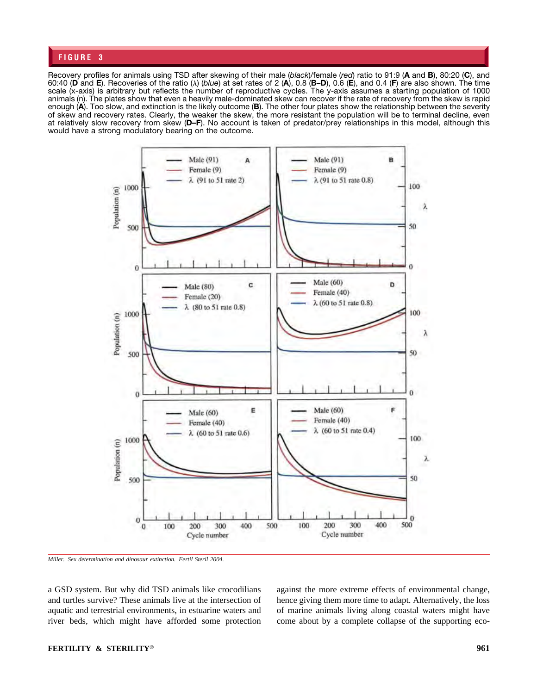#### **FIGURE 3**

Recovery profiles for animals using TSD after skewing of their male (*black*)/female (*red*) ratio to 91:9 (**A** and **B**), 80:20 (**C**), and 60:40 (**D** and **E**). Recoveries of the ratio () (*blue*) at set rates of 2 (**A**), 0.8 (**B–D**), 0.6 (**E**), and 0.4 (**F**) are also shown. The time scale (x-axis) is arbitrary but reflects the number of reproductive cycles. The y-axis assumes a starting population of 1000 animals (n). The plates show that even a heavily male-dominated skew can recover if the rate of recovery from the skew is rapid enough (**A**). Too slow, and extinction is the likely outcome (**B**). The other four plates show the relationship between the severity of skew and recovery rates. Clearly, the weaker the skew, the more resistant the population will be to terminal decline, even at relatively slow recovery from skew (**D–F**). No account is taken of predator/prey relationships in this model, although this would have a strong modulatory bearing on the outcome.



*Miller. Sex determination and dinosaur extinction. Fertil Steril 2004.*

a GSD system. But why did TSD animals like crocodilians and turtles survive? These animals live at the intersection of aquatic and terrestrial environments, in estuarine waters and river beds, which might have afforded some protection

against the more extreme effects of environmental change, hence giving them more time to adapt. Alternatively, the loss of marine animals living along coastal waters might have come about by a complete collapse of the supporting eco-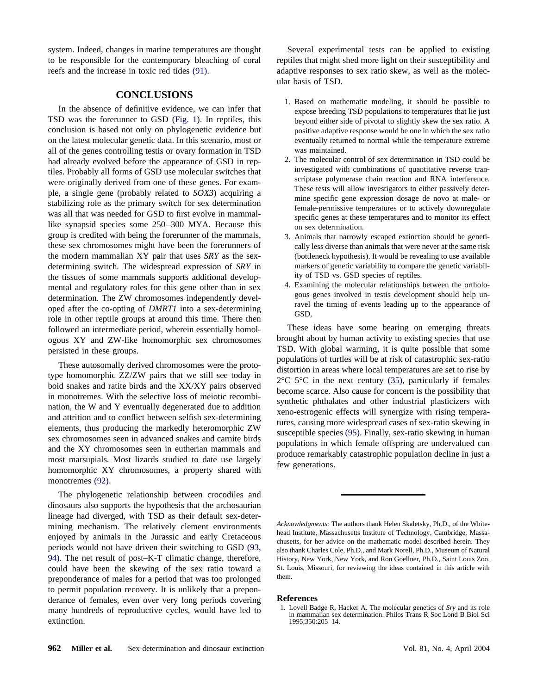system. Indeed, changes in marine temperatures are thought to be responsible for the contemporary bleaching of coral reefs and the increase in toxic red tides (91).

#### **CONCLUSIONS**

In the absence of definitive evidence, we can infer that TSD was the forerunner to GSD (Fig. 1). In reptiles, this conclusion is based not only on phylogenetic evidence but on the latest molecular genetic data. In this scenario, most or all of the genes controlling testis or ovary formation in TSD had already evolved before the appearance of GSD in reptiles. Probably all forms of GSD use molecular switches that were originally derived from one of these genes. For example, a single gene (probably related to *SOX3*) acquiring a stabilizing role as the primary switch for sex determination was all that was needed for GSD to first evolve in mammallike synapsid species some 250 –300 MYA. Because this group is credited with being the forerunner of the mammals, these sex chromosomes might have been the forerunners of the modern mammalian XY pair that uses *SRY* as the sexdetermining switch. The widespread expression of *SRY* in the tissues of some mammals supports additional developmental and regulatory roles for this gene other than in sex determination. The ZW chromosomes independently developed after the co-opting of *DMRT1* into a sex-determining role in other reptile groups at around this time. There then followed an intermediate period, wherein essentially homologous XY and ZW-like homomorphic sex chromosomes persisted in these groups.

These autosomally derived chromosomes were the prototype homomorphic ZZ/ZW pairs that we still see today in boid snakes and ratite birds and the XX/XY pairs observed in monotremes. With the selective loss of meiotic recombination, the W and Y eventually degenerated due to addition and attrition and to conflict between selfish sex-determining elements, thus producing the markedly heteromorphic ZW sex chromosomes seen in advanced snakes and carnite birds and the XY chromosomes seen in eutherian mammals and most marsupials. Most lizards studied to date use largely homomorphic XY chromosomes, a property shared with monotremes (92).

The phylogenetic relationship between crocodiles and dinosaurs also supports the hypothesis that the archosaurian lineage had diverged, with TSD as their default sex-determining mechanism. The relatively clement environments enjoyed by animals in the Jurassic and early Cretaceous periods would not have driven their switching to GSD (93, 94). The net result of post–K-T climatic change, therefore, could have been the skewing of the sex ratio toward a preponderance of males for a period that was too prolonged to permit population recovery. It is unlikely that a preponderance of females, even over very long periods covering many hundreds of reproductive cycles, would have led to extinction.

Several experimental tests can be applied to existing reptiles that might shed more light on their susceptibility and adaptive responses to sex ratio skew, as well as the molecular basis of TSD.

- 1. Based on mathematic modeling, it should be possible to expose breeding TSD populations to temperatures that lie just beyond either side of pivotal to slightly skew the sex ratio. A positive adaptive response would be one in which the sex ratio eventually returned to normal while the temperature extreme was maintained.
- 2. The molecular control of sex determination in TSD could be investigated with combinations of quantitative reverse transcriptase polymerase chain reaction and RNA interference. These tests will allow investigators to either passively determine specific gene expression dosage de novo at male- or female-permissive temperatures or to actively downregulate specific genes at these temperatures and to monitor its effect on sex determination.
- 3. Animals that narrowly escaped extinction should be genetically less diverse than animals that were never at the same risk (bottleneck hypothesis). It would be revealing to use available markers of genetic variability to compare the genetic variability of TSD vs. GSD species of reptiles.
- 4. Examining the molecular relationships between the orthologous genes involved in testis development should help unravel the timing of events leading up to the appearance of GSD.

These ideas have some bearing on emerging threats brought about by human activity to existing species that use TSD. With global warming, it is quite possible that some populations of turtles will be at risk of catastrophic sex-ratio distortion in areas where local temperatures are set to rise by  $2^{\circ}$ C–5 $^{\circ}$ C in the next century (35), particularly if females become scarce. Also cause for concern is the possibility that synthetic phthalates and other industrial plasticizers with xeno-estrogenic effects will synergize with rising temperatures, causing more widespread cases of sex-ratio skewing in susceptible species (95). Finally, sex-ratio skewing in human populations in which female offspring are undervalued can produce remarkably catastrophic population decline in just a few generations.

*Acknowledgments:* The authors thank Helen Skaletsky, Ph.D., of the Whitehead Institute, Massachusetts Institute of Technology, Cambridge, Massachusetts, for her advice on the mathematic model described herein. They also thank Charles Cole, Ph.D., and Mark Norell, Ph.D., Museum of Natural History, New York, New York, and Ron Goellner, Ph.D., Saint Louis Zoo, St. Louis, Missouri, for reviewing the ideas contained in this article with them.

#### **References**

<sup>1.</sup> Lovell Badge R, Hacker A. The molecular genetics of *Sry* and its role in mammalian sex determination. Philos Trans R Soc Lond B Biol Sci 1995;350:205–14.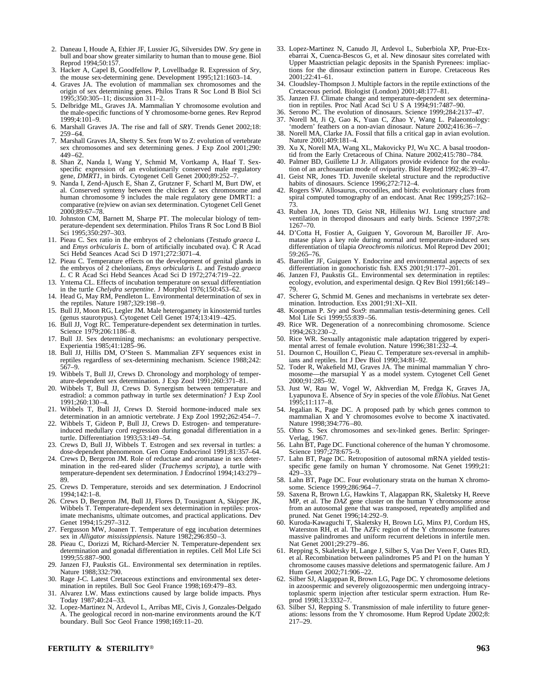- 2. Daneau I, Houde A, Ethier JF, Lussier JG, Silversides DW. *Sry* gene in bull and boar show greater similarity to human than to mouse gene. Biol Reprod 1994;50:157.
- 3. Hacker A, Capel B, Goodfellow P, Lovellbadge R. Expression of *Sry*, the mouse sex-determining gene. Development 1995;121:1603–14.
- 4. Graves JA. The evolution of mammalian sex chromosomes and the origin of sex determining genes. Philos Trans R Soc Lond B Biol Sci 1995;350:305–11; discussion 311–2.
- 5. Delbridge ML, Graves JA. Mammalian Y chromosome evolution and the male-specific functions of Y chromosome-borne genes. Rev Reprod 1999;4:101–9.
- 6. Marshall Graves JA. The rise and fall of *SRY*. Trends Genet 2002;18: 259 –64.
- 7. Marshall Graves JA, Shetty S. Sex from W to Z: evolution of vertebrate sex chromosomes and sex determining genes. J Exp Zool 2001;290: 449 –62.
- 8. Shan Z, Nanda I, Wang Y, Schmid M, Vortkamp A, Haaf T. Sexspecific expression of an evolutionarily conserved male regulatory gene, *DMRT1*, in birds. Cytogenet Cell Genet 2000;89:252–7.
- 9. Nanda I, Zend-Ajusch E, Shan Z, Grutzner F, Schartl M, Burt DW, et al. Conserved synteny between the chicken Z sex chromosome and human chromosome 9 includes the male regulatory gene DMRT1: a comparative (re)view on avian sex determination. Cytogenet Cell Genet 2000;89:67–78.
- 10. Johnston CM, Barnett M, Sharpe PT. The molecular biology of temperature-dependent sex determination. Philos Trans R Soc Lond B Biol Sci 1995;350:297–303.
- 11. Pieau C. Sex ratio in the embryos of 2 chelonians (*Testudo graeca L.* and *Emys orbicularis L.* born of artificially incubated ova). C R Acad Sci Hebd Seances Acad Sci D 1971;272:3071–4.
- 12. Pieau C. Temperature effects on the development of genital glands in the embryos of 2 chelonians, *Emys orbicularis L.* and *Testudo graeca L*. C R Acad Sci Hebd Seances Acad Sci D 1972;274:719 –22.
- 13. Yntema CL. Effects of incubation temperature on sexual differentiation in the turtle *Chelydra serpentine*. J Morphol 1976;150:453–62.
- 14. Head G, May RM, Pendleton L. Environmental determination of sex in the reptiles. Nature 1987;329:198 –9.
- 15. Bull JJ, Moon RG, Legler JM. Male heterogamety in kinosternid turtles (genus staurotypus). Cytogenet Cell Genet 1974;13:419 –425.
- 16. Bull JJ, Vogt RC. Temperature-dependent sex determination in turtles. Science 1979;206:1186-8.
- 17. Bull JJ. Sex determining mechanisms: an evolutionary perspective. Experientia 1985;41:1285–96.
- 18. Bull JJ, Hillis DM, O'Steen S. Mammalian ZFY sequences exist in reptiles regardless of sex-determining mechanism. Science 1988;242: 567–9.
- 19. Wibbels T, Bull JJ, Crews D. Chronology and morphology of temperature-dependent sex determination. J Exp Zool 1991;260:371–81.
- 20. Wibbels T, Bull JJ, Crews D. Synergism between temperature and estradiol: a common pathway in turtle sex determination? J Exp Zool 1991;260:130 –4.
- 21. Wibbels T, Bull JJ, Crews D. Steroid hormone-induced male sex determination in an amniotic vertebrate. J Exp Zool 1992;262:454 –7.
- 22. Wibbels T, Gideon P, Bull JJ, Crews D. Estrogen- and temperatureinduced medullary cord regression during gonadal differentiation in a turtle. Differentiation 1993;53:149 –54.
- 23. Crews D, Bull JJ, Wibbels T. Estrogen and sex reversal in turtles: a dose-dependent phenomenon. Gen Comp Endocrinol 1991;81:357-64.
- 24. Crews D, Bergeron JM. Role of reductase and aromatase in sex determination in the red-eared slider (*Trachemys scripta*), a turtle with temperature-dependent sex determination. J Endocrinol 1994;143:279 – 89.
- 25. Crews D. Temperature, steroids and sex determination. J Endocrinol 1994;142:1–8.
- 26. Crews D, Bergeron JM, Bull JJ, Flores D, Tousignant A, Skipper JK, Wibbels T. Temperature-dependent sex determination in reptiles: proximate mechanisms, ultimate outcomes, and practical applications. Dev Genet 1994;15:297–312.
- 27. Fergusson MW, Joanen T. Temperature of egg incubation determines sex in *Alligator mississippiensis*. Nature 1982;296:850 –3.
- 28. Pieau C, Dorizzi M, Richard-Mercier N. Temperature-dependent sex determination and gonadal differentiation in reptiles. Cell Mol Life Sci 1999;55:887–900.
- 29. Janzen FJ, Paukstis GL. Environmental sex determination in reptiles. Nature 1988;332:790.
- 30. Rage J-C. Latest Cretaceous extinctions and environmental sex determination in reptiles. Bull Soc Geol France 1998;169:479 –83.
- 31. Alvarez LW. Mass extinctions caused by large bolide impacts. Phys Today 1987;40:24 –33.
- 32. Lopez-Martinez N, Ardevol L, Arribas ME, Civis J, Gonzales-Delgado A. The geological record in non-marine environments around the K/T boundary. Bull Soc Geol France 1998;169:11–20.
- 33. Lopez-Martinez N, Canudo JI, Ardevol L, Suberbiola XP, Prue-Etxebarrai X, Cuenca-Bescos G, et al. New dinosaur sites correlated with Upper Maastrictian pelagic deposits in the Spanish Pyrenees: impliactions for the dinosaur extinction pattern in Europe. Cretaceous Res 2001;22:41–61.
- 34. Cloudsley-Thompson J. Multiple factors in the reptile extinctions of the Cretaceous period. Biologist (London) 2001;48:177–81.
- 35. Janzen FJ. Climate change and temperature-dependent sex determination in reptiles. Proc Natl Acad Sci U S A 1994;91:7487-90.
- 36. Serono PC. The evolution of dinosaurs. Science 1999;284:2137–47. 37. Norell M, Ji Q, Gao K, Yuan C, Zhao Y, Wang L. Palaeontology:
- 'modern' feathers on a non-avian dinosaur. Nature 2002;416:36 –7. 38. Norell MA, Clarke JA. Fossil that fills a critical gap in avian evolution.
- Nature 2001;409:181–4. 39. Xu X, Norell MA, Wang XL, Makovicky PJ, Wu XC. A basal troodon-
- tid from the Early Cretaceous of China. Nature 2002;415:780 –784.
- 40. Palmer BD, Guillette LJ Jr. Alligators provide evidence for the evolution of an archosaurian mode of oviparity. Biol Reprod 1992;46:39 –47.
- 41. Geist NR, Jones TD. Juvenile skeletal structure and the reproductive habits of dinosaurs. Science 1996;272:712-4.
- 42. Rogers SW. Allosaurus, crocodiles, and birds: evolutionary clues from spiral computed tomography of an endocast. Anat Rec 1999;257:162– 73.
- 43. Ruben JA, Jones TD, Geist NR, Hillenius WJ. Lung structure and ventilation in theropod dinosaurs and early birds. Science 1997;278: 1267–70.
- 44. D'Cotta H, Fostier A, Guiguen Y, Govoroun M, Baroiller JF. Aromatase plays a key role during normal and temperature-induced sex differentiation of tilapia *Oreochromis niloticus*. Mol Reprod Dev 2001; 59:265–76.
- 45. Baroiller JF, Guiguen Y. Endocrine and environmental aspects of sex differentiation in gonochoristic fish. EXS 2001;91:177–201.
- Janzen FJ, Paukstis GL. Environmental sex determination in reptiles: ecology, evolution, and experimental design. Q Rev Biol 1991;66:149 – 79.
- 47. Scherer G, Schmid M. Genes and mechanisms in vertebrate sex determination. Introduction. Exs 2001;91:XI–XII.
- 48. Koopman P. *Sry* and *Sox9*: mammalian testis-determining genes. Cell Mol Life Sci 1999;55:839 –56.
- 49. Rice WR. Degeneration of a nonrecombining chromosome. Science  $1994.263.230 - 2$
- 50. Rice WR. Sexually antagonistic male adaptation triggered by experimental arrest of female evolution. Nature 1996;381:232-4
- 51. Dournon C, Houillon C, Pieau C. Temperature sex-reversal in amphibians and reptiles. Int J Dev Biol 1990;34:81–92.
- 52. Toder R, Wakefield MJ, Graves JA. The minimal mammalian Y chromosome—the marsupial Y as a model system. Cytogenet Cell Genet 2000;91:285–92.
- 53. Just W, Rau W, Vogel W, Akhverdian M, Fredga K, Graves JA, Lyapunova E. Absence of *Sry* in species of the vole *Ellobius*. Nat Genet 1995;11:117–8.
- 54. Jegalian K, Page DC. A proposed path by which genes common to mammalian X and Y chromosomes evolve to become X inactivated. Nature 1998;394:776 –80.
- 55. Ohno S. Sex chromosomes and sex-linked genes. Berlin: Springer-Verlag, 1967.
- 56. Lahn BT, Page DC. Functional coherence of the human Y chromosome. Science 1997:278:675-9.
- 57. Lahn BT, Page DC. Retroposition of autosomal mRNA yielded testisspecific gene family on human Y chromosome. Nat Genet 1999;21: 429 –33.
- 58. Lahn BT, Page DC. Four evolutionary strata on the human X chromosome. Science 1999;286:964 –7.
- Saxena R, Brown LG, Hawkins T, Alagappan RK, Skaletsky H, Reeve MP, et al. The *DAZ* gene cluster on the human Y chromosome arose from an autosomal gene that was transposed, repeatedly amplified and pruned. Nat Genet 1996;14:292–9.
- 60. Kuroda-Kawaguchi T, Skaletsky H, Brown LG, Minx PJ, Cordum HS, Waterston RH, et al. The AZFc region of the Y chromosome features massive palindromes and uniform recurrent deletions in infertile men. Nat Genet 2001;29:279 –86.
- 61. Repping S, Skaletsky H, Lange J, Silber S, Van Der Veen F, Oates RD, et al. Recombination between palindromes P5 and P1 on the human Y chromosome causes massive deletions and spermatogenic failure. Am J Hum Genet 2002;71:906 –22.
- 62. Silber SJ, Alagappan R, Brown LG, Page DC. Y chromosome deletions in azoospermic and severely oligozoospermic men undergoing intracytoplasmic sperm injection after testicular sperm extraction. Hum Reprod 1998;13:3332–7.
- 63. Silber SJ, Repping S. Transmission of male infertility to future generations: lessons from the Y chromosome. Hum Reprod Update 2002;8: 217–29.